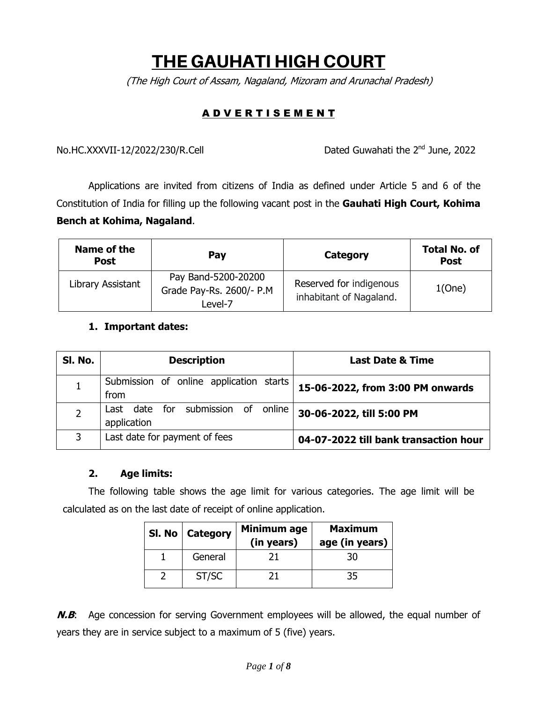# THE GAUHATI HIGH COURT

(The High Court of Assam, Nagaland, Mizoram and Arunachal Pradesh)

# A D V E R T I S E M E N T

No.HC.XXXVII-12/2022/230/R.Cell Dated Guwahati the 2<sup>nd</sup> June, 2022

 Applications are invited from citizens of India as defined under Article 5 and 6 of the Constitution of India for filling up the following vacant post in the **Gauhati High Court, Kohima Bench at Kohima, Nagaland**.

| Name of the<br><b>Post</b> | Pay                                                        | Category                                           | <b>Total No. of</b><br><b>Post</b> |
|----------------------------|------------------------------------------------------------|----------------------------------------------------|------------------------------------|
| Library Assistant          | Pay Band-5200-20200<br>Grade Pay-Rs. 2600/- P.M<br>Level-7 | Reserved for indigenous<br>inhabitant of Nagaland. | 1(One)                             |

# **1. Important dates:**

| SI. No. | <b>Description</b>                                   | <b>Last Date &amp; Time</b>           |
|---------|------------------------------------------------------|---------------------------------------|
|         | Submission of online application starts<br>from      | 15-06-2022, from 3:00 PM onwards      |
|         | Last date for submission<br>of online<br>application | 30-06-2022, till 5:00 PM              |
|         | Last date for payment of fees                        | 04-07-2022 till bank transaction hour |

# **2. Age limits:**

The following table shows the age limit for various categories. The age limit will be calculated as on the last date of receipt of online application.

| SI. No   Category | Minimum age | <b>Maximum</b> |
|-------------------|-------------|----------------|
|                   | (in years)  | age (in years) |
| General           |             | 30             |
| ST/SC             |             | 35             |

**N.B:** Age concession for serving Government employees will be allowed, the equal number of years they are in service subject to a maximum of 5 (five) years.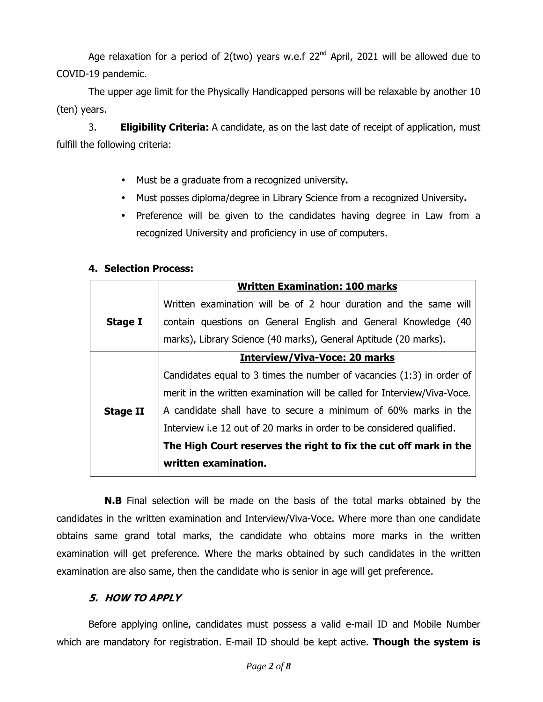Age relaxation for a period of 2(two) years w.e.f 22<sup>nd</sup> April, 2021 will be allowed due to COVID-19 pandemic.

The upper age limit for the Physically Handicapped persons will be relaxable by another 10 (ten) years.

3. **Eligibility Criteria:** A candidate, as on the last date of receipt of application, must fulfill the following criteria:

- Must be a graduate from a recognized university**.**
- Must posses diploma/degree in Library Science from a recognized University**.**
- Preference will be given to the candidates having degree in Law from a recognized University and proficiency in use of computers.

#### **4. Selection Process:**

|                 | <b>Written Examination: 100 marks</b>                                    |  |  |
|-----------------|--------------------------------------------------------------------------|--|--|
|                 | Written examination will be of 2 hour duration and the same will         |  |  |
| <b>Stage I</b>  | contain questions on General English and General Knowledge (40           |  |  |
|                 | marks), Library Science (40 marks), General Aptitude (20 marks).         |  |  |
|                 | <b>Interview/Viva-Voce: 20 marks</b>                                     |  |  |
|                 | Candidates equal to 3 times the number of vacancies (1:3) in order of    |  |  |
|                 | merit in the written examination will be called for Interview/Viva-Voce. |  |  |
| <b>Stage II</b> | A candidate shall have to secure a minimum of 60% marks in the           |  |  |
|                 | Interview i.e 12 out of 20 marks in order to be considered qualified.    |  |  |
|                 | The High Court reserves the right to fix the cut off mark in the         |  |  |
|                 | written examination.                                                     |  |  |

**N.B** Final selection will be made on the basis of the total marks obtained by the candidates in the written examination and Interview/Viva-Voce. Where more than one candidate obtains same grand total marks, the candidate who obtains more marks in the written examination will get preference. Where the marks obtained by such candidates in the written examination are also same, then the candidate who is senior in age will get preference.

# **5. HOW TO APPLY**

Before applying online, candidates must possess a valid e-mail ID and Mobile Number which are mandatory for registration. E-mail ID should be kept active. **Though the system is**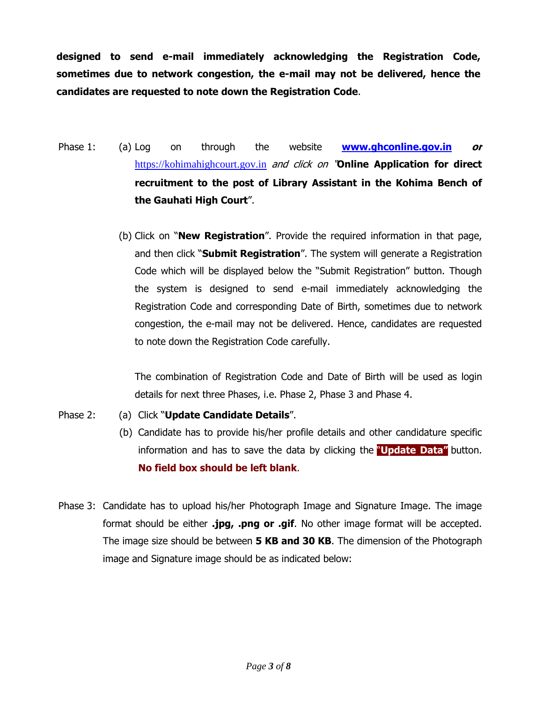**designed to send e-mail immediately acknowledging the Registration Code, sometimes due to network congestion, the e-mail may not be delivered, hence the candidates are requested to note down the Registration Code**.

- Phase 1: (a) Log on through the website **www.ghconline.gov.in or** https://kohimahighcourt.gov.in and click on "**Online Application for direct recruitment to the post of Library Assistant in the Kohima Bench of the Gauhati High Court**".
	- (b) Click on "**New Registration**". Provide the required information in that page, and then click "**Submit Registration**". The system will generate a Registration Code which will be displayed below the "Submit Registration" button. Though the system is designed to send e-mail immediately acknowledging the Registration Code and corresponding Date of Birth, sometimes due to network congestion, the e-mail may not be delivered. Hence, candidates are requested to note down the Registration Code carefully.

The combination of Registration Code and Date of Birth will be used as login details for next three Phases, i.e. Phase 2, Phase 3 and Phase 4.

- Phase 2: (a) Click "**Update Candidate Details**".
	- (b) Candidate has to provide his/her profile details and other candidature specific information and has to save the data by clicking the "**Update Data"** button. **No field box should be left blank**.
- Phase 3: Candidate has to upload his/her Photograph Image and Signature Image. The image format should be either **.jpg, .png or .gif**. No other image format will be accepted. The image size should be between **5 KB and 30 KB**. The dimension of the Photograph image and Signature image should be as indicated below: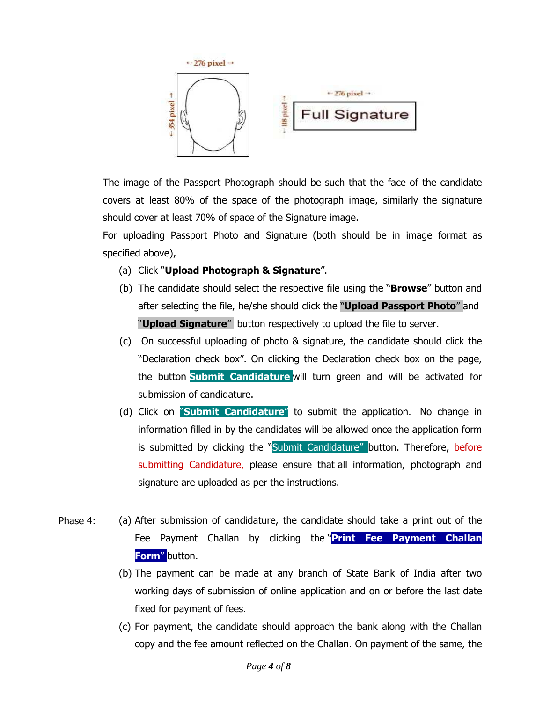

The image of the Passport Photograph should be such that the face of the candidate covers at least 80% of the space of the photograph image, similarly the signature should cover at least 70% of space of the Signature image.

For uploading Passport Photo and Signature (both should be in image format as specified above),

- (a) Click "**Upload Photograph & Signature**".
- (b) The candidate should select the respective file using the "**Browse**" button and after selecting the file, he/she should click the "**Upload Passport Photo**" and "**Upload Signature**" button respectively to upload the file to server.
- (c) On successful uploading of photo & signature, the candidate should click the "Declaration check box". On clicking the Declaration check box on the page, the button **Submit Candidature** will turn green and will be activated for submission of candidature.
- (d) Click on "**Submit Candidature**" to submit the application. No change in information filled in by the candidates will be allowed once the application form is submitted by clicking the "Submit Candidature" button. Therefore, before submitting Candidature, please ensure that all information, photograph and signature are uploaded as per the instructions.
- Phase 4: (a) After submission of candidature, the candidate should take a print out of the Fee Payment Challan by clicking the "**Print Fee Payment Challan Form**" button.
	- (b) The payment can be made at any branch of State Bank of India after two working days of submission of online application and on or before the last date fixed for payment of fees.
	- (c) For payment, the candidate should approach the bank along with the Challan copy and the fee amount reflected on the Challan. On payment of the same, the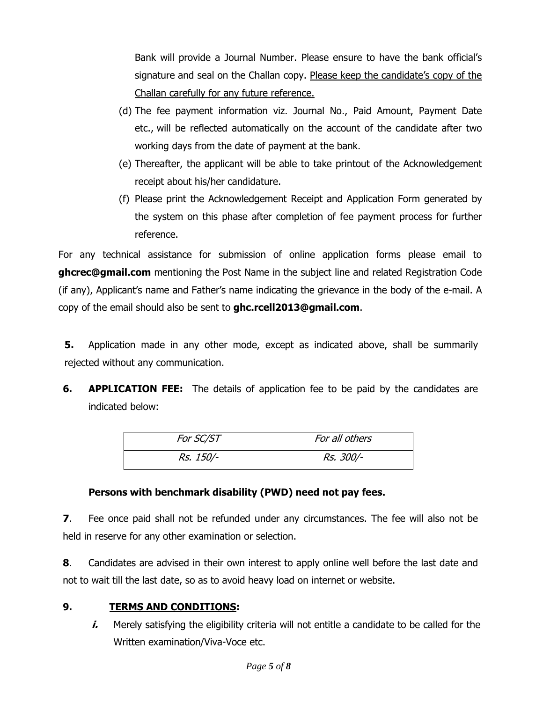Bank will provide a Journal Number. Please ensure to have the bank official's signature and seal on the Challan copy. Please keep the candidate's copy of the Challan carefully for any future reference.

- (d) The fee payment information viz. Journal No., Paid Amount, Payment Date etc., will be reflected automatically on the account of the candidate after two working days from the date of payment at the bank.
- (e) Thereafter, the applicant will be able to take printout of the Acknowledgement receipt about his/her candidature.
- (f) Please print the Acknowledgement Receipt and Application Form generated by the system on this phase after completion of fee payment process for further reference.

For any technical assistance for submission of online application forms please email to **ghcrec@gmail.com** mentioning the Post Name in the subject line and related Registration Code (if any), Applicant's name and Father's name indicating the grievance in the body of the e-mail. A copy of the email should also be sent to **ghc.rcell2013@gmail.com**.

**5.** Application made in any other mode, except as indicated above, shall be summarily rejected without any communication.

**6. APPLICATION FEE:** The details of application fee to be paid by the candidates are indicated below:

| For SC/ST | For all others |
|-----------|----------------|
| Rs. 150/- | Rs. 300/-      |

# **Persons with benchmark disability (PWD) need not pay fees.**

**7**. Fee once paid shall not be refunded under any circumstances. The fee will also not be held in reserve for any other examination or selection.

**8**. Candidates are advised in their own interest to apply online well before the last date and not to wait till the last date, so as to avoid heavy load on internet or website.

# **9. TERMS AND CONDITIONS:**

**i.** Merely satisfying the eligibility criteria will not entitle a candidate to be called for the Written examination/Viva-Voce etc.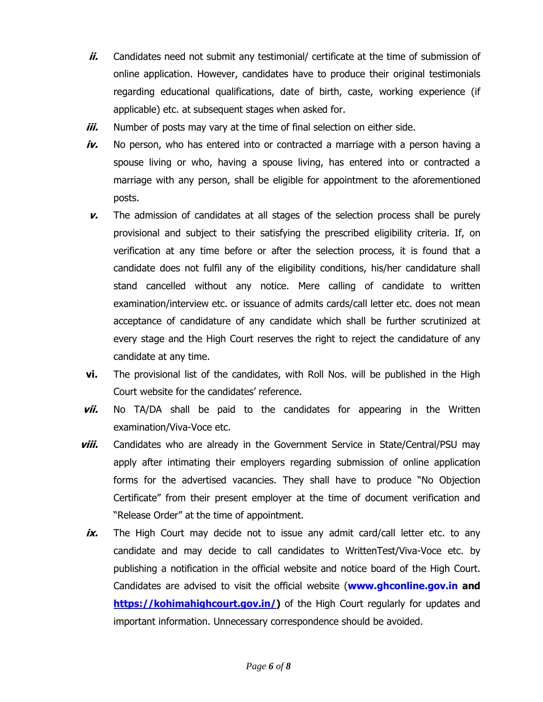- *ii.* Candidates need not submit any testimonial/ certificate at the time of submission of online application. However, candidates have to produce their original testimonials regarding educational qualifications, date of birth, caste, working experience (if applicable) etc. at subsequent stages when asked for.
- **iii.** Number of posts may vary at the time of final selection on either side.
- **iv.** No person, who has entered into or contracted a marriage with a person having a spouse living or who, having a spouse living, has entered into or contracted a marriage with any person, shall be eligible for appointment to the aforementioned posts.
- **v.** The admission of candidates at all stages of the selection process shall be purely provisional and subject to their satisfying the prescribed eligibility criteria. If, on verification at any time before or after the selection process, it is found that a candidate does not fulfil any of the eligibility conditions, his/her candidature shall stand cancelled without any notice. Mere calling of candidate to written examination/interview etc. or issuance of admits cards/call letter etc. does not mean acceptance of candidature of any candidate which shall be further scrutinized at every stage and the High Court reserves the right to reject the candidature of any candidate at any time.
- **vi.** The provisional list of the candidates, with Roll Nos. will be published in the High Court website for the candidates' reference.
- **vii.** No TA/DA shall be paid to the candidates for appearing in the Written examination/Viva-Voce etc.
- **viii.** Candidates who are already in the Government Service in State/Central/PSU may apply after intimating their employers regarding submission of online application forms for the advertised vacancies. They shall have to produce "No Objection Certificate" from their present employer at the time of document verification and "Release Order" at the time of appointment.
- **ix.** The High Court may decide not to issue any admit card/call letter etc. to any candidate and may decide to call candidates to WrittenTest/Viva-Voce etc. by publishing a notification in the official website and notice board of the High Court. Candidates are advised to visit the official website (**www.ghconline.gov.in and https://kohimahighcourt.gov.in/)** of the High Court regularly for updates and important information. Unnecessary correspondence should be avoided.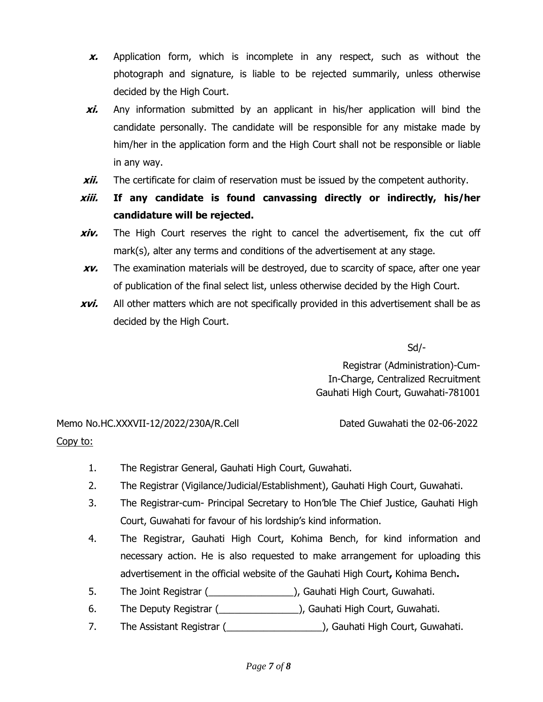- **x.** Application form, which is incomplete in any respect, such as without the photograph and signature, is liable to be rejected summarily, unless otherwise decided by the High Court.
- **xi.** Any information submitted by an applicant in his/her application will bind the candidate personally. The candidate will be responsible for any mistake made by him/her in the application form and the High Court shall not be responsible or liable in any way.
- **xii.** The certificate for claim of reservation must be issued by the competent authority.
- **xiii. If any candidate is found canvassing directly or indirectly, his/her candidature will be rejected.**
- **xiv.** The High Court reserves the right to cancel the advertisement, fix the cut off mark(s), alter any terms and conditions of the advertisement at any stage.
- **xv.** The examination materials will be destroyed, due to scarcity of space, after one year of publication of the final select list, unless otherwise decided by the High Court.
- **xvi.** All other matters which are not specifically provided in this advertisement shall be as decided by the High Court.

Sd/-

Registrar (Administration)-Cum-In-Charge, Centralized Recruitment Gauhati High Court, Guwahati-781001

Memo No.HC.XXXVII-12/2022/230A/R.Cell Dated Guwahati the 02-06-2022 Copy to:

- 1. The Registrar General, Gauhati High Court, Guwahati.
- 2. The Registrar (Vigilance/Judicial/Establishment), Gauhati High Court, Guwahati.
- 3. The Registrar-cum- Principal Secretary to Hon'ble The Chief Justice, Gauhati High Court, Guwahati for favour of his lordship's kind information.
- 4. The Registrar, Gauhati High Court, Kohima Bench, for kind information and necessary action. He is also requested to make arrangement for uploading this advertisement in the official website of the Gauhati High Court**,** Kohima Bench**.**
- 5. The Joint Registrar ( **Name 2018**), Gauhati High Court, Guwahati.
- 6. The Deputy Registrar (\_\_\_\_\_\_\_\_\_\_\_\_\_\_\_), Gauhati High Court, Guwahati.
- 7. The Assistant Registrar (\_\_\_\_\_\_\_\_\_\_\_\_\_\_\_\_\_\_), Gauhati High Court, Guwahati.